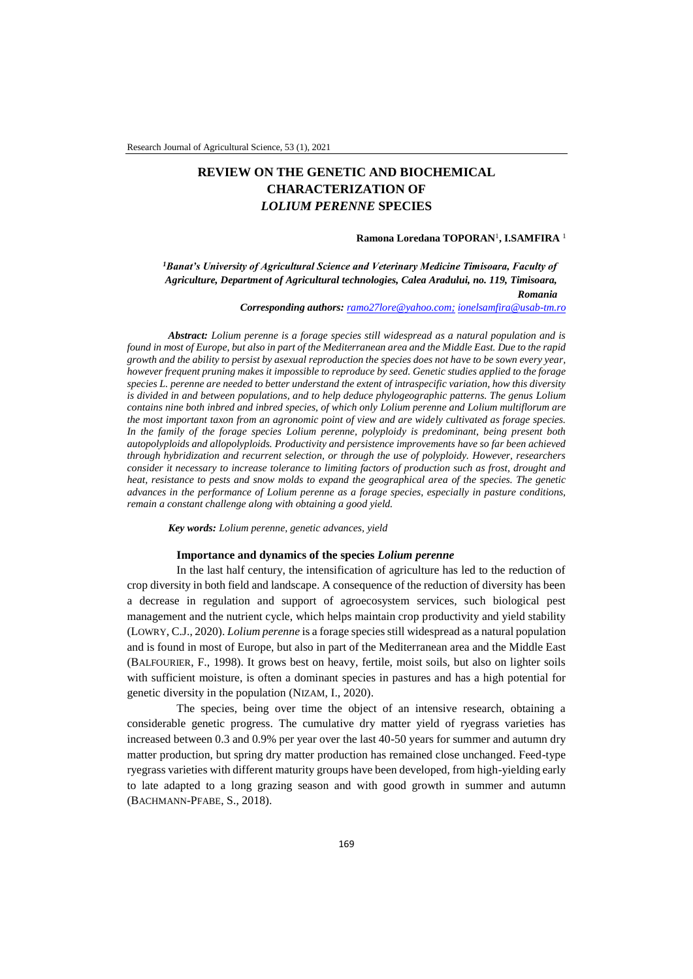# **REVIEW ON THE GENETIC AND BIOCHEMICAL CHARACTERIZATION OF**  *LOLIUM PERENNE* **SPECIES**

#### **Ramona Loredana TOPORAN**<sup>1</sup> **, I.SAMFIRA** <sup>1</sup>

*<sup>1</sup>Banat's University of Agricultural Science and Veterinary Medicine Timisoara, Faculty of Agriculture, Department of Agricultural technologies, Calea Aradului, no. 119, Timisoara, Romania*

*Corresponding authors: [ramo27lore@yahoo.com;](mailto:ramo27lore@yahoo.com) [ionelsamfira@usab-tm.ro](mailto:ionelsamfira@usab-tm.ro)*

*Abstract: Lolium perenne is a forage species still widespread as a natural population and is found in most of Europe, but also in part of the Mediterranean area and the Middle East. Due to the rapid growth and the ability to persist by asexual reproduction the species does not have to be sown every year, however frequent pruning makes it impossible to reproduce by seed. Genetic studies applied to the forage species L. perenne are needed to better understand the extent of intraspecific variation, how this diversity is divided in and between populations, and to help deduce phylogeographic patterns. The genus Lolium contains nine both inbred and inbred species, of which only Lolium perenne and Lolium multiflorum are the most important taxon from an agronomic point of view and are widely cultivated as forage species. In the family of the forage species Lolium perenne, polyploidy is predominant, being present both autopolyploids and allopolyploids. Productivity and persistence improvements have so far been achieved through hybridization and recurrent selection, or through the use of polyploidy. However, researchers consider it necessary to increase tolerance to limiting factors of production such as frost, drought and heat, resistance to pests and snow molds to expand the geographical area of the species. The genetic advances in the performance of Lolium perenne as a forage species, especially in pasture conditions, remain a constant challenge along with obtaining a good yield.* 

*Key words: Lolium perenne, genetic advances, yield*

## **Importance and dynamics of the species** *Lolium perenne*

In the last half century, the intensification of agriculture has led to the reduction of crop diversity in both field and landscape. A consequence of the reduction of diversity has been a decrease in regulation and support of agroecosystem services, such biological pest management and the nutrient cycle, which helps maintain crop productivity and yield stability (LOWRY, C.J., 2020). *Lolium perenne* is a forage species still widespread as a natural population and is found in most of Europe, but also in part of the Mediterranean area and the Middle East (BALFOURIER, F., 1998). It grows best on heavy, fertile, moist soils, but also on lighter soils with sufficient moisture, is often a dominant species in pastures and has a high potential for genetic diversity in the population (NIZAM, I., 2020).

The species, being over time the object of an intensive research, obtaining a considerable genetic progress. The cumulative dry matter yield of ryegrass varieties has increased between 0.3 and 0.9% per year over the last 40-50 years for summer and autumn dry matter production, but spring dry matter production has remained close unchanged. Feed-type ryegrass varieties with different maturity groups have been developed, from high-yielding early to late adapted to a long grazing season and with good growth in summer and autumn (BACHMANN-PFABE, S., 2018).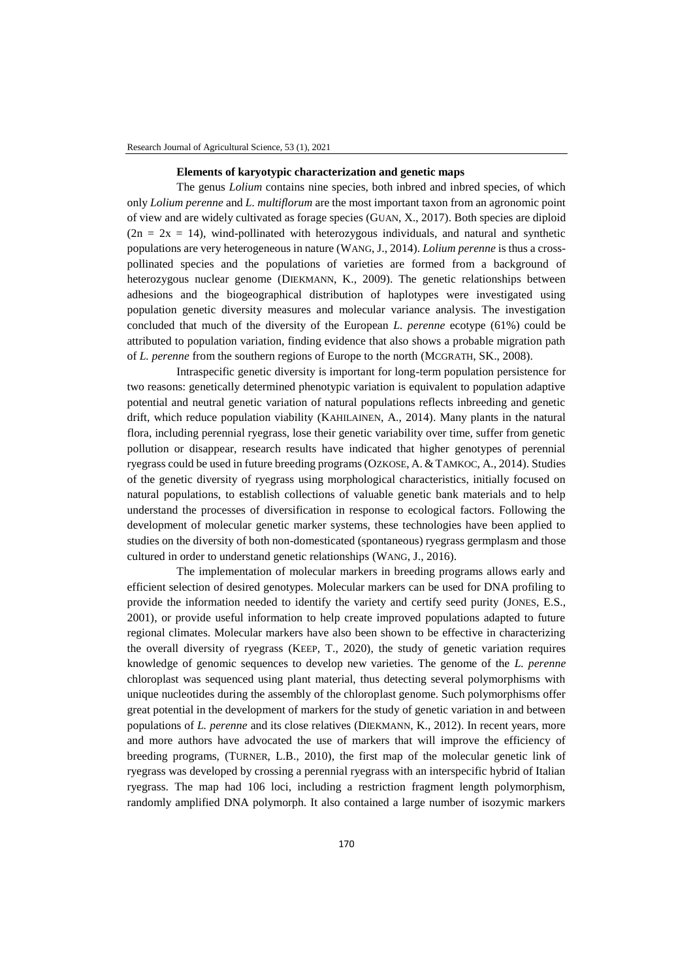#### **Elements of karyotypic characterization and genetic maps**

The genus *Lolium* contains nine species, both inbred and inbred species, of which only *Lolium perenne* and *L. multiflorum* are the most important taxon from an agronomic point of view and are widely cultivated as forage species (GUAN, X., 2017). Both species are diploid  $(2n = 2x = 14)$ , wind-pollinated with heterozygous individuals, and natural and synthetic populations are very heterogeneous in nature (WANG, J., 2014). *Lolium perenne* is thus a crosspollinated species and the populations of varieties are formed from a background of heterozygous nuclear genome (DIEKMANN, K., 2009). The genetic relationships between adhesions and the biogeographical distribution of haplotypes were investigated using population genetic diversity measures and molecular variance analysis. The investigation concluded that much of the diversity of the European *L. perenne* ecotype (61%) could be attributed to population variation, finding evidence that also shows a probable migration path of *L. perenne* from the southern regions of Europe to the north (MCGRATH, SK., 2008).

Intraspecific genetic diversity is important for long-term population persistence for two reasons: genetically determined phenotypic variation is equivalent to population adaptive potential and neutral genetic variation of natural populations reflects inbreeding and genetic drift, which reduce population viability (KAHILAINEN, A., 2014). Many plants in the natural flora, including perennial ryegrass, lose their genetic variability over time, suffer from genetic pollution or disappear, research results have indicated that higher genotypes of perennial ryegrass could be used in future breeding programs (OZKOSE, A. & TAMKOC, A., 2014). Studies of the genetic diversity of ryegrass using morphological characteristics, initially focused on natural populations, to establish collections of valuable genetic bank materials and to help understand the processes of diversification in response to ecological factors. Following the development of molecular genetic marker systems, these technologies have been applied to studies on the diversity of both non-domesticated (spontaneous) ryegrass germplasm and those cultured in order to understand genetic relationships (WANG, J., 2016).

The implementation of molecular markers in breeding programs allows early and efficient selection of desired genotypes. Molecular markers can be used for DNA profiling to provide the information needed to identify the variety and certify seed purity (JONES, E.S., 2001), or provide useful information to help create improved populations adapted to future regional climates. Molecular markers have also been shown to be effective in characterizing the overall diversity of ryegrass (KEEP, T., 2020), the study of genetic variation requires knowledge of genomic sequences to develop new varieties. The genome of the *L. perenne* chloroplast was sequenced using plant material, thus detecting several polymorphisms with unique nucleotides during the assembly of the chloroplast genome. Such polymorphisms offer great potential in the development of markers for the study of genetic variation in and between populations of *L. perenne* and its close relatives (DIEKMANN, K., 2012). In recent years, more and more authors have advocated the use of markers that will improve the efficiency of breeding programs, (TURNER, L.B., 2010), the first map of the molecular genetic link of ryegrass was developed by crossing a perennial ryegrass with an interspecific hybrid of Italian ryegrass. The map had 106 loci, including a restriction fragment length polymorphism, randomly amplified DNA polymorph. It also contained a large number of isozymic markers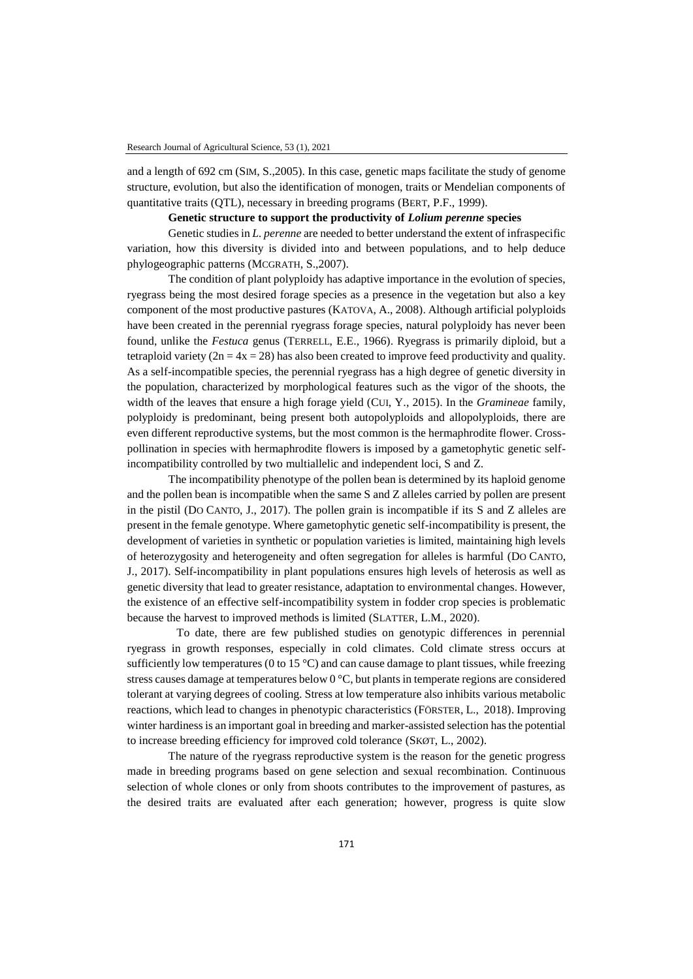and a length of 692 cm (SIM, S.,2005). In this case, genetic maps facilitate the study of genome structure, evolution, but also the identification of monogen, traits or Mendelian components of quantitative traits (QTL), necessary in breeding programs (BERT, P.F., 1999).

## **Genetic structure to support the productivity of** *Lolium perenne* **species**

Genetic studies in *L. perenne* are needed to better understand the extent of infraspecific variation, how this diversity is divided into and between populations, and to help deduce phylogeographic patterns (MCGRATH, S.,2007).

The condition of plant polyploidy has adaptive importance in the evolution of species, ryegrass being the most desired forage species as a presence in the vegetation but also a key component of the most productive pastures (KATOVA, A., 2008). Although artificial polyploids have been created in the perennial ryegrass forage species, natural polyploidy has never been found, unlike the *Festuca* genus (TERRELL, E.E., 1966). Ryegrass is primarily diploid, but a tetraploid variety ( $2n = 4x = 28$ ) has also been created to improve feed productivity and quality. As a self-incompatible species, the perennial ryegrass has a high degree of genetic diversity in the population, characterized by morphological features such as the vigor of the shoots, the width of the leaves that ensure a high forage yield (CUI, Y., 2015). In the *Gramineae* family, polyploidy is predominant, being present both autopolyploids and allopolyploids, there are even different reproductive systems, but the most common is the hermaphrodite flower. Crosspollination in species with hermaphrodite flowers is imposed by a gametophytic genetic selfincompatibility controlled by two multiallelic and independent loci, S and Z.

The incompatibility phenotype of the pollen bean is determined by its haploid genome and the pollen bean is incompatible when the same S and Z alleles carried by pollen are present in the pistil (DO CANTO, J., 2017). The pollen grain is incompatible if its S and Z alleles are present in the female genotype. Where gametophytic genetic self-incompatibility is present, the development of varieties in synthetic or population varieties is limited, maintaining high levels of heterozygosity and heterogeneity and often segregation for alleles is harmful (DO CANTO, J., 2017). Self-incompatibility in plant populations ensures high levels of heterosis as well as genetic diversity that lead to greater resistance, adaptation to environmental changes. However, the existence of an effective self-incompatibility system in fodder crop species is problematic because the harvest to improved methods is limited (SLATTER, L.M., 2020).

To date, there are few published studies on genotypic differences in perennial ryegrass in growth responses, especially in cold climates. Cold climate stress occurs at sufficiently low temperatures (0 to 15  $^{\circ}$ C) and can cause damage to plant tissues, while freezing stress causes damage at temperatures below 0 °C, but plants in temperate regions are considered tolerant at varying degrees of cooling. Stress at low temperature also inhibits various metabolic reactions, which lead to changes in phenotypic characteristics (FÖRSTER, L., 2018). Improving winter hardiness is an important goal in breeding and marker-assisted selection has the potential to increase breeding efficiency for improved cold tolerance (SKØT, L., 2002).

The nature of the ryegrass reproductive system is the reason for the genetic progress made in breeding programs based on gene selection and sexual recombination. Continuous selection of whole clones or only from shoots contributes to the improvement of pastures, as the desired traits are evaluated after each generation; however, progress is quite slow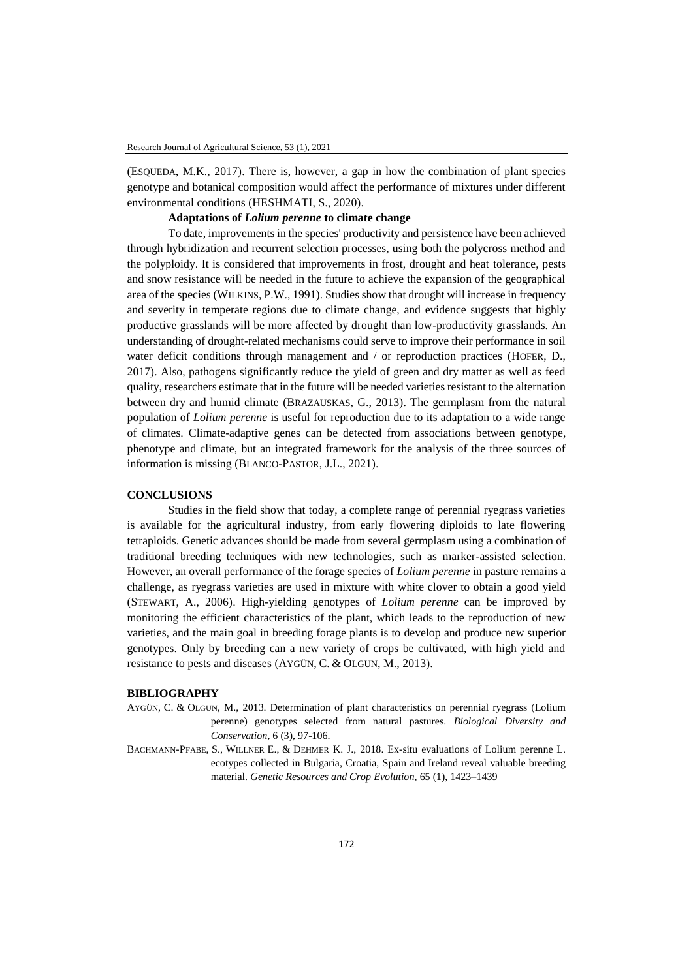(ESQUEDA, M.K., 2017). There is, however, a gap in how the combination of plant species genotype and botanical composition would affect the performance of mixtures under different environmental conditions (HESHMATI, S., 2020).

## **Adaptations of** *Lolium perenne* **to climate change**

To date, improvements in the species' productivity and persistence have been achieved through hybridization and recurrent selection processes, using both the polycross method and the polyploidy. It is considered that improvements in frost, drought and heat tolerance, pests and snow resistance will be needed in the future to achieve the expansion of the geographical area of the species (WILKINS, P.W., 1991). Studies show that drought will increase in frequency and severity in temperate regions due to climate change, and evidence suggests that highly productive grasslands will be more affected by drought than low-productivity grasslands. An understanding of drought-related mechanisms could serve to improve their performance in soil water deficit conditions through management and / or reproduction practices (HOFER, D., 2017). Also, pathogens significantly reduce the yield of green and dry matter as well as feed quality, researchers estimate that in the future will be needed varieties resistant to the alternation between dry and humid climate (BRAZAUSKAS, G., 2013). The germplasm from the natural population of *Lolium perenne* is useful for reproduction due to its adaptation to a wide range of climates. Climate-adaptive genes can be detected from associations between genotype, phenotype and climate, but an integrated framework for the analysis of the three sources of information is missing (BLANCO‐PASTOR, J.L., 2021).

#### **CONCLUSIONS**

Studies in the field show that today, a complete range of perennial ryegrass varieties is available for the agricultural industry, from early flowering diploids to late flowering tetraploids. Genetic advances should be made from several germplasm using a combination of traditional breeding techniques with new technologies, such as marker-assisted selection. However, an overall performance of the forage species of *Lolium perenne* in pasture remains a challenge, as ryegrass varieties are used in mixture with white clover to obtain a good yield (STEWART, A., 2006). High-yielding genotypes of *Lolium perenne* can be improved by monitoring the efficient characteristics of the plant, which leads to the reproduction of new varieties, and the main goal in breeding forage plants is to develop and produce new superior genotypes. Only by breeding can a new variety of crops be cultivated, with high yield and resistance to pests and diseases (AYGÜN, C. & OLGUN, M., 2013).

#### **BIBLIOGRAPHY**

- AYGÜN, C. & OLGUN, M., 2013. Determination of plant characteristics on perennial ryegrass (Lolium perenne) genotypes selected from natural pastures. *Biological Diversity and Conservation*, 6 (3), 97-106.
- BACHMANN-PFABE, S., WILLNER E., & DEHMER K. J., 2018. Ex-situ evaluations of Lolium perenne L. ecotypes collected in Bulgaria, Croatia, Spain and Ireland reveal valuable breeding material. *Genetic Resources and Crop Evolution*, 65 (1), 1423–1439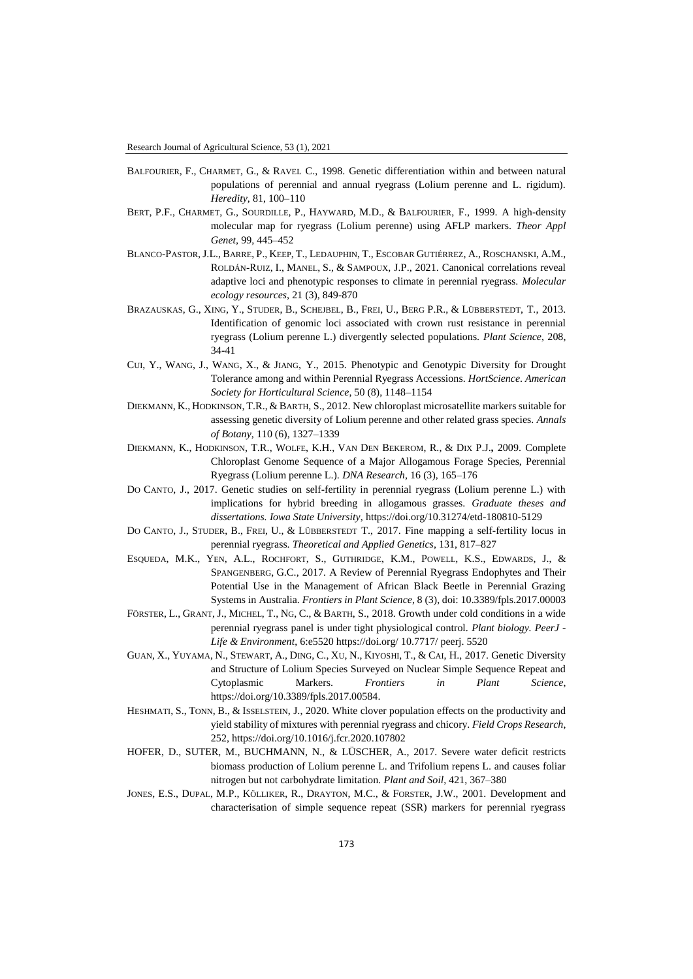- BALFOURIER, F., CHARMET, G., & RAVEL C., 1998. Genetic differentiation within and between natural populations of perennial and annual ryegrass (Lolium perenne and L. rigidum). *Heredity*, 81, 100–110
- BERT, P.F., CHARMET, G., SOURDILLE, P., HAYWARD, M.D., & BALFOURIER, F., 1999. A high-density molecular map for ryegrass (Lolium perenne) using AFLP markers. *Theor Appl Genet*, 99, 445–452
- BLANCO‐PASTOR,J.L., BARRE, P., KEEP, T., LEDAUPHIN, T., ESCOBAR GUTIÉRREZ, A., ROSCHANSKI, A.M., ROLDÁN‐RUIZ, I., MANEL, S., & SAMPOUX, J.P., 2021. Canonical correlations reveal adaptive loci and phenotypic responses to climate in perennial ryegrass. *Molecular ecology resources*, 21 (3), 849-870
- BRAZAUSKAS, G., XING, Y., STUDER, B., SCHEJBEL, B., FREI, U., BERG P.R., & LÜBBERSTEDT, T., 2013. Identification of genomic loci associated with crown rust resistance in perennial ryegrass (Lolium perenne L.) divergently selected populations. *Plant Science*, 208, 34-41
- CUI, Y., WANG, J., WANG, X., & JIANG, Y., 2015. Phenotypic and Genotypic Diversity for Drought Tolerance among and within Perennial Ryegrass Accessions. *HortScience*. *American Society for Horticultural Science*, 50 (8), 1148–1154
- DIEKMANN, K., HODKINSON, T.R., & BARTH, S., 2012. New chloroplast microsatellite markers suitable for assessing genetic diversity of Lolium perenne and other related grass species. *Annals of Botany*, 110 (6), 1327–1339
- DIEKMANN, K., HODKINSON, T.R., WOLFE, K.H., VAN DEN BEKEROM, R., & DIX P.J.**,** 2009. Complete Chloroplast Genome Sequence of a Major Allogamous Forage Species, Perennial Ryegrass (Lolium perenne L.). *DNA Research*, 16 (3), 165–176
- DO CANTO, J., 2017. Genetic studies on self-fertility in perennial ryegrass (Lolium perenne L.) with implications for hybrid breeding in allogamous grasses. *Graduate theses and dissertations. Iowa State University*[, https://doi.org/10.31274/etd-180810-5129](https://doi.org/10.31274/etd-180810-5129)
- DO CANTO, J., STUDER, B., FREI, U., & LÜBBERSTEDT T., 2017. Fine mapping a self-fertility locus in perennial ryegrass. *Theoretical and Applied Genetics*, 131, 817–827
- ESQUEDA, M.K., YEN, A.L., ROCHFORT, S., GUTHRIDGE, K.M., POWELL, K.S., EDWARDS, J., & SPANGENBERG, G.C., 2017. A Review of Perennial Ryegrass Endophytes and Their Potential Use in the Management of African Black Beetle in Perennial Grazing Systems in Australia. *Frontiers in Plant Science*, 8 (3), doi: 10.3389/fpls.2017.00003
- FÖRSTER, L., GRANT, J., MICHEL, T., NG, C., & BARTH, S., 2018. Growth under cold conditions in a wide perennial ryegrass panel is under tight physiological control. *Plant biology. PeerJ - Life & Environment*, 6:e5520<https://doi.org/> 10.7717/ peerj. 5520
- GUAN, X., YUYAMA, N., STEWART, A., DING, C., XU, N., KIYOSHI, T., & CAI, H., 2017. Genetic Diversity and Structure of Lolium Species Surveyed on Nuclear Simple Sequence Repeat and Cytoplasmic Markers. *Frontiers in Plant Science*, [https://doi.org/10.3389/fpls.2017.00584.](https://doi.org/10.3389/fpls.2017.00584)
- HESHMATI, S., TONN, B., & ISSELSTEIN, J., 2020. White clover population effects on the productivity and yield stability of mixtures with perennial ryegrass and chicory. *Field Crops Research*, 252[, https://doi.org/10.1016/j.fcr.2020.107802](https://doi.org/10.1016/j.fcr.2020.107802)
- HOFER, D., SUTER, M., BUCHMANN, N., & LÜSCHER, A., 2017. Severe water deficit restricts biomass production of Lolium perenne L. and Trifolium repens L. and causes foliar nitrogen but not carbohydrate limitation. *Plant and Soil*, 421, 367–380
- JONES, E.S., DUPAL, M.P., KÖLLIKER, R., DRAYTON, M.C., & FORSTER, J.W., 2001. Development and characterisation of simple sequence repeat (SSR) markers for perennial ryegrass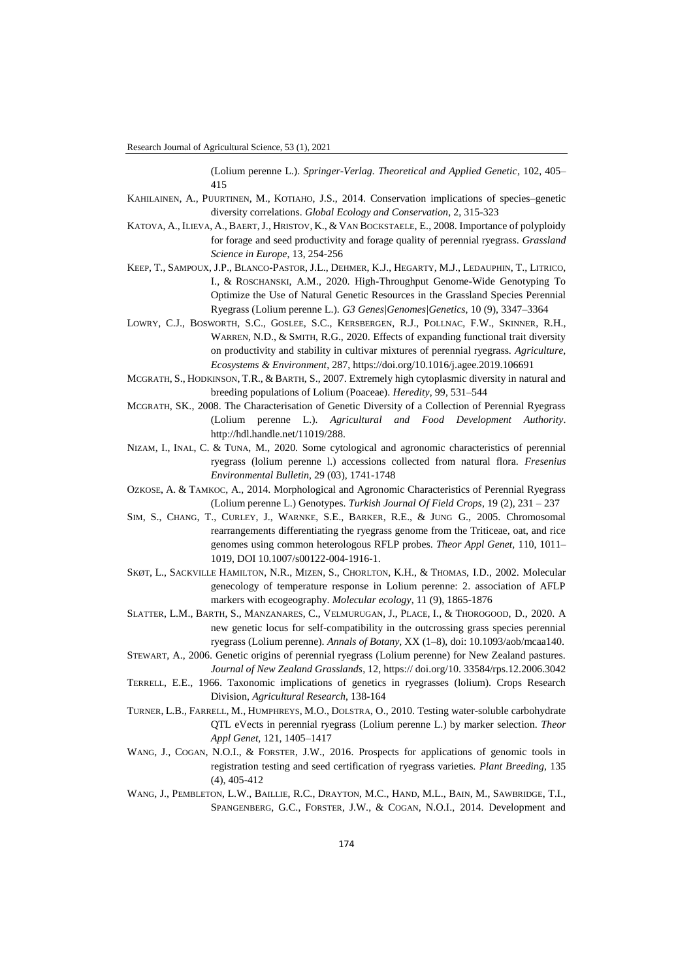(Lolium perenne L.). *Springer-Verlag. Theoretical and Applied Genetic*, 102, 405– 415

- KAHILAINEN, A., PUURTINEN, M., KOTIAHO, J.S., 2014. Conservation implications of species–genetic diversity correlations. *Global Ecology and Conservation*, 2, 315-323
- KATOVA, A., ILIEVA, A., BAERT,J., HRISTOV, K., & VAN BOCKSTAELE, E., 2008. Importance of polyploidy for forage and seed productivity and forage quality of perennial ryegrass. *Grassland Science in Europe*, 13, 254-256
- KEEP, T., SAMPOUX, J.P., BLANCO-PASTOR, J.L., DEHMER, K.J., HEGARTY, M.J., LEDAUPHIN, T., LITRICO, I., & ROSCHANSKI, A.M., 2020. High-Throughput Genome-Wide Genotyping To Optimize the Use of Natural Genetic Resources in the Grassland Species Perennial Ryegrass (Lolium perenne L.). *G3 Genes|Genomes|Genetics*, 10 (9), 3347–3364
- LOWRY, C.J., BOSWORTH, S.C., GOSLEE, S.C., KERSBERGEN, R.J., POLLNAC, F.W., SKINNER, R.H., WARREN, N.D., & SMITH, R.G., 2020. Effects of expanding functional trait diversity on productivity and stability in cultivar mixtures of perennial ryegrass. *Agriculture, Ecosystems & Environment*, 287, https://doi.org/10.1016/j.agee.2019.106691
- MCGRATH, S., HODKINSON, T.R., & BARTH, S., 2007. Extremely high cytoplasmic diversity in natural and breeding populations of Lolium (Poaceae). *Heredity*, 99, 531–544
- MCGRATH, SK., 2008. The Characterisation of Genetic Diversity of a Collection of Perennial Ryegrass (Lolium perenne L.). *Agricultural and Food Development Authority*. http://hdl.handle.net/11019/288.
- NIZAM, I., INAL, C. & TUNA, M., 2020. Some cytological and agronomic characteristics of perennial ryegrass (lolium perenne l.) accessions collected from natural flora. *Fresenius Environmental Bulletin*, 29 (03), 1741-1748
- OZKOSE, A. & TAMKOC, A., 2014. Morphological and Agronomic Characteristics of Perennial Ryegrass (Lolium perenne L.) Genotypes. *Turkish Journal Of Field Crops*, 19 (2), 231 – 237
- SIM, S., CHANG, T., CURLEY, J., WARNKE, S.E., BARKER, R.E., & JUNG G., 2005. Chromosomal rearrangements differentiating the ryegrass genome from the Triticeae, oat, and rice genomes using common heterologous RFLP probes. *Theor Appl Genet,* 110, 1011– 1019, DOI 10.1007/s00122-004-1916-1.
- SKØT, L., SACKVILLE HAMILTON, N.R., MIZEN, S., CHORLTON, K.H., & THOMAS, I.D., 2002. Molecular genecology of temperature response in Lolium perenne: 2. association of AFLP markers with ecogeography. *Molecular ecology*, 11 (9), 1865-1876
- SLATTER, L.M., BARTH, S., MANZANARES, C., VELMURUGAN, J., PLACE, I., & THOROGOOD, D., 2020. A new genetic locus for self-compatibility in the outcrossing grass species perennial ryegrass (Lolium perenne). *Annals of Botany,* XX (1–8), doi: 10.1093/aob/mcaa140.
- STEWART, A., 2006. Genetic origins of perennial ryegrass (Lolium perenne) for New Zealand pastures. *Journal of New Zealand Grasslands*, 12[, https:// doi.org/10. 33584/rps.12.2006.3042](https://doi.org/10.33584/rps.12.2006.3042)
- TERRELL, E.E., 1966. Taxonomic implications of genetics in ryegrasses (lolium). Crops Research Division, *Agricultural Research*, 138-164
- TURNER, L.B., FARRELL, M., HUMPHREYS, M.O., DOLSTRA, O., 2010. Testing water-soluble carbohydrate QTL eVects in perennial ryegrass (Lolium perenne L.) by marker selection. *Theor Appl Genet,* 121, 1405–1417
- WANG, J., COGAN, N.O.I., & FORSTER, J.W., 2016. Prospects for applications of genomic tools in registration testing and seed certification of ryegrass varieties. *Plant Breeding*, 135 (4), 405-412
- WANG, J., PEMBLETON, L.W., BAILLIE, R.C., DRAYTON, M.C., HAND, M.L., BAIN, M., SAWBRIDGE, T.I., SPANGENBERG, G.C., FORSTER, J.W., & COGAN, N.O.I., 2014. Development and